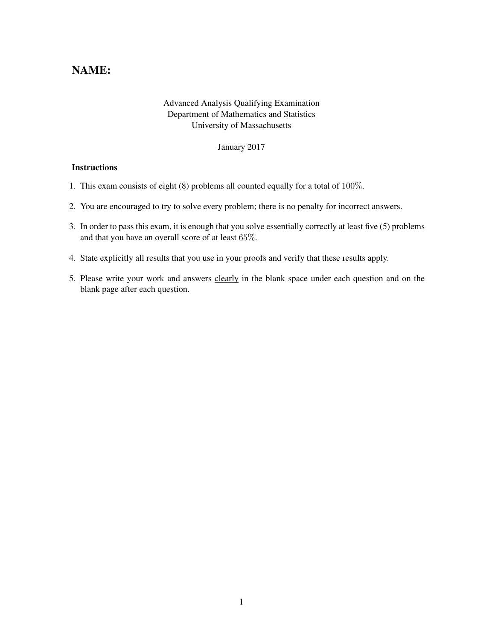## NAME:

## Advanced Analysis Qualifying Examination Department of Mathematics and Statistics University of Massachusetts

January 2017

## **Instructions**

- 1. This exam consists of eight (8) problems all counted equally for a total of 100%.
- 2. You are encouraged to try to solve every problem; there is no penalty for incorrect answers.
- 3. In order to pass this exam, it is enough that you solve essentially correctly at least five (5) problems and that you have an overall score of at least 65%.
- 4. State explicitly all results that you use in your proofs and verify that these results apply.
- 5. Please write your work and answers clearly in the blank space under each question and on the blank page after each question.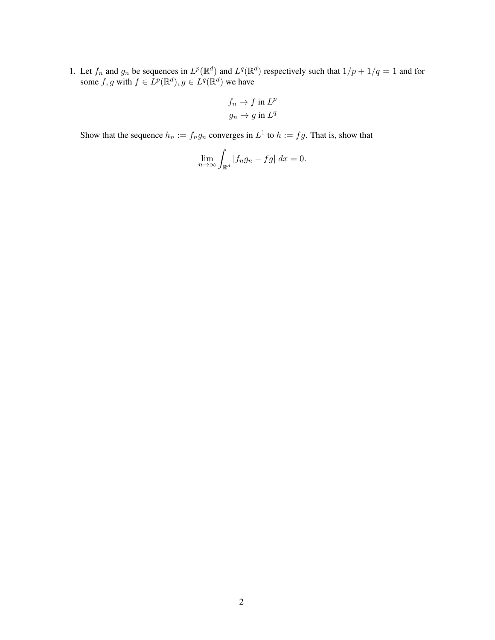1. Let  $f_n$  and  $g_n$  be sequences in  $L^p(\mathbb{R}^d)$  and  $L^q(\mathbb{R}^d)$  respectively such that  $1/p + 1/q = 1$  and for some f, g with  $f \in L^p(\mathbb{R}^d)$ ,  $g \in L^q(\mathbb{R}^d)$  we have

$$
f_n \to f \text{ in } L^p
$$
  

$$
g_n \to g \text{ in } L^q
$$

Show that the sequence  $h_n := f_n g_n$  converges in  $L^1$  to  $h := fg$ . That is, show that

$$
\lim_{n \to \infty} \int_{\mathbb{R}^d} |f_n g_n - fg| \ dx = 0.
$$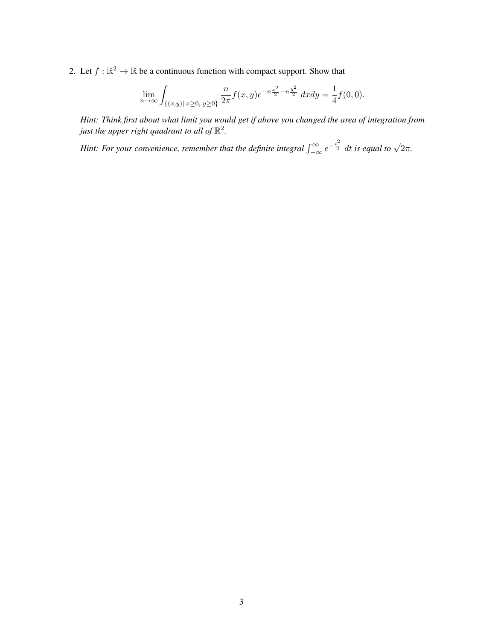2. Let  $f : \mathbb{R}^2 \to \mathbb{R}$  be a continuous function with compact support. Show that

$$
\lim_{n \to \infty} \int_{\{(x,y) | x \ge 0, y \ge 0\}} \frac{n}{2\pi} f(x,y) e^{-n\frac{x^2}{2} - n\frac{y^2}{2}} dx dy = \frac{1}{4} f(0,0).
$$

*Hint: Think first about what limit you would get if above you changed the area of integration from* just the upper right quadrant to all of  $\mathbb{R}^2$ .

*Hint: For your convenience, remember that the definite integral*  $\int_{-\infty}^{\infty} e^{-\frac{t^2}{2}} dt$  is equal to  $\sqrt{2\pi}$ .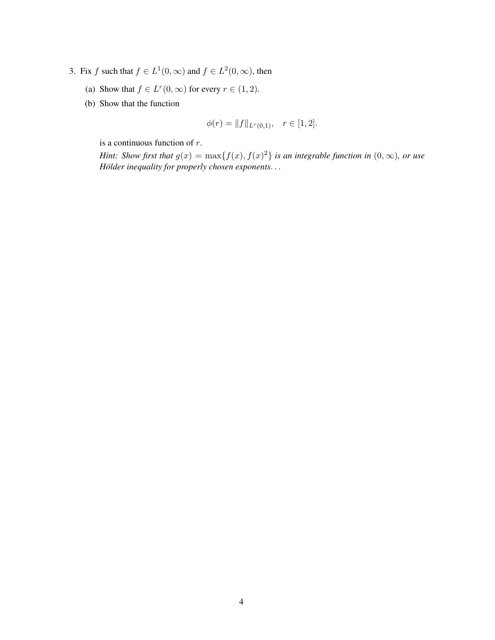- 3. Fix f such that  $f \in L^1(0, \infty)$  and  $f \in L^2(0, \infty)$ , then
	- (a) Show that  $f \in L^r(0, \infty)$  for every  $r \in (1, 2)$ .
	- (b) Show that the function

$$
\phi(r) = ||f||_{L^r(0,1)}, \quad r \in [1,2].
$$

is a continuous function of r.

*Hint: Show first that*  $g(x) = \max\{f(x), f(x)^2\}$  *is an integrable function in*  $(0, \infty)$ *, or use Hölder inequality for properly chosen exponents...*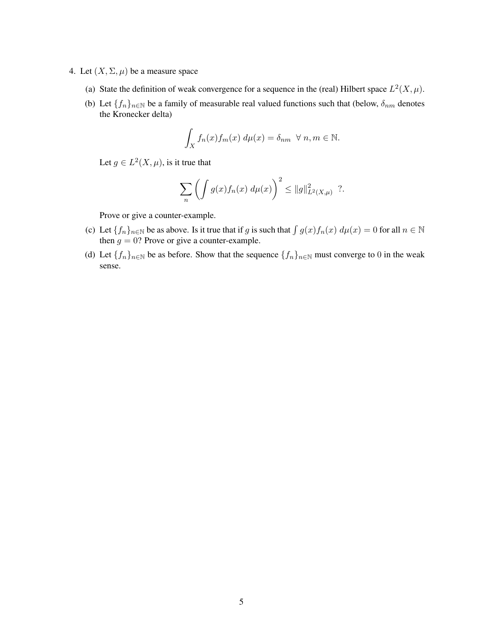- 4. Let  $(X, \Sigma, \mu)$  be a measure space
	- (a) State the definition of weak convergence for a sequence in the (real) Hilbert space  $L^2(X, \mu)$ .
	- (b) Let  $\{f_n\}_{n\in\mathbb{N}}$  be a family of measurable real valued functions such that (below,  $\delta_{nm}$  denotes the Kronecker delta)

$$
\int_X f_n(x) f_m(x) d\mu(x) = \delta_{nm} \ \forall n, m \in \mathbb{N}.
$$

Let  $g \in L^2(X, \mu)$ , is it true that

$$
\sum_{n} \left( \int g(x) f_n(x) \, d\mu(x) \right)^2 \leq \|g\|_{L^2(X,\mu)}^2 \, ?.
$$

Prove or give a counter-example.

- (c) Let  $\{f_n\}_{n\in\mathbb{N}}$  be as above. Is it true that if g is such that  $\int g(x)f_n(x) d\mu(x) = 0$  for all  $n \in \mathbb{N}$ then  $g = 0$ ? Prove or give a counter-example.
- (d) Let  $\{f_n\}_{n\in\mathbb{N}}$  be as before. Show that the sequence  $\{f_n\}_{n\in\mathbb{N}}$  must converge to 0 in the weak sense.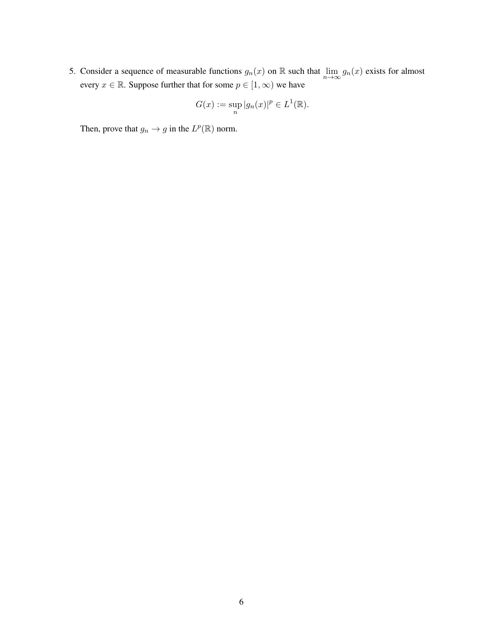5. Consider a sequence of measurable functions  $g_n(x)$  on R such that  $\lim_{n\to\infty} g_n(x)$  exists for almost every  $x \in \mathbb{R}$ . Suppose further that for some  $p \in [1, \infty)$  we have

$$
G(x) := \sup_{n} |g_n(x)|^p \in L^1(\mathbb{R}).
$$

Then, prove that  $g_n \to g$  in the  $L^p(\mathbb{R})$  norm.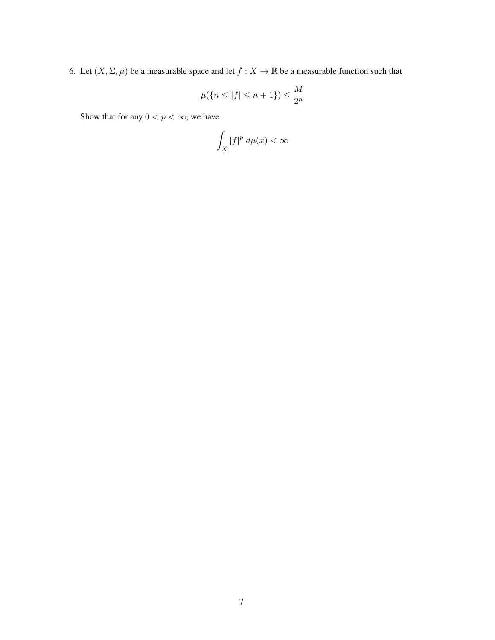6. Let  $(X, \Sigma, \mu)$  be a measurable space and let  $f : X \to \mathbb{R}$  be a measurable function such that

$$
\mu({n \le |f| \le n+1}) \le \frac{M}{2^n}
$$

Show that for any  $0 < p < \infty$ , we have

$$
\int_X |f|^p \, d\mu(x) < \infty
$$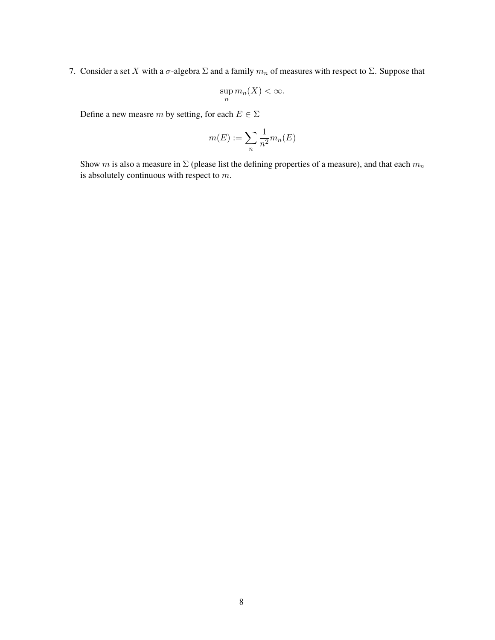7. Consider a set X with a  $\sigma$ -algebra  $\Sigma$  and a family  $m_n$  of measures with respect to  $\Sigma$ . Suppose that

$$
\sup_n m_n(X) < \infty.
$$

Define a new measre $m$  by setting, for each  $E \in \Sigma$ 

$$
m(E) := \sum_{n} \frac{1}{n^2} m_n(E)
$$

Show m is also a measure in  $\Sigma$  (please list the defining properties of a measure), and that each  $m_n$ is absolutely continuous with respect to m.